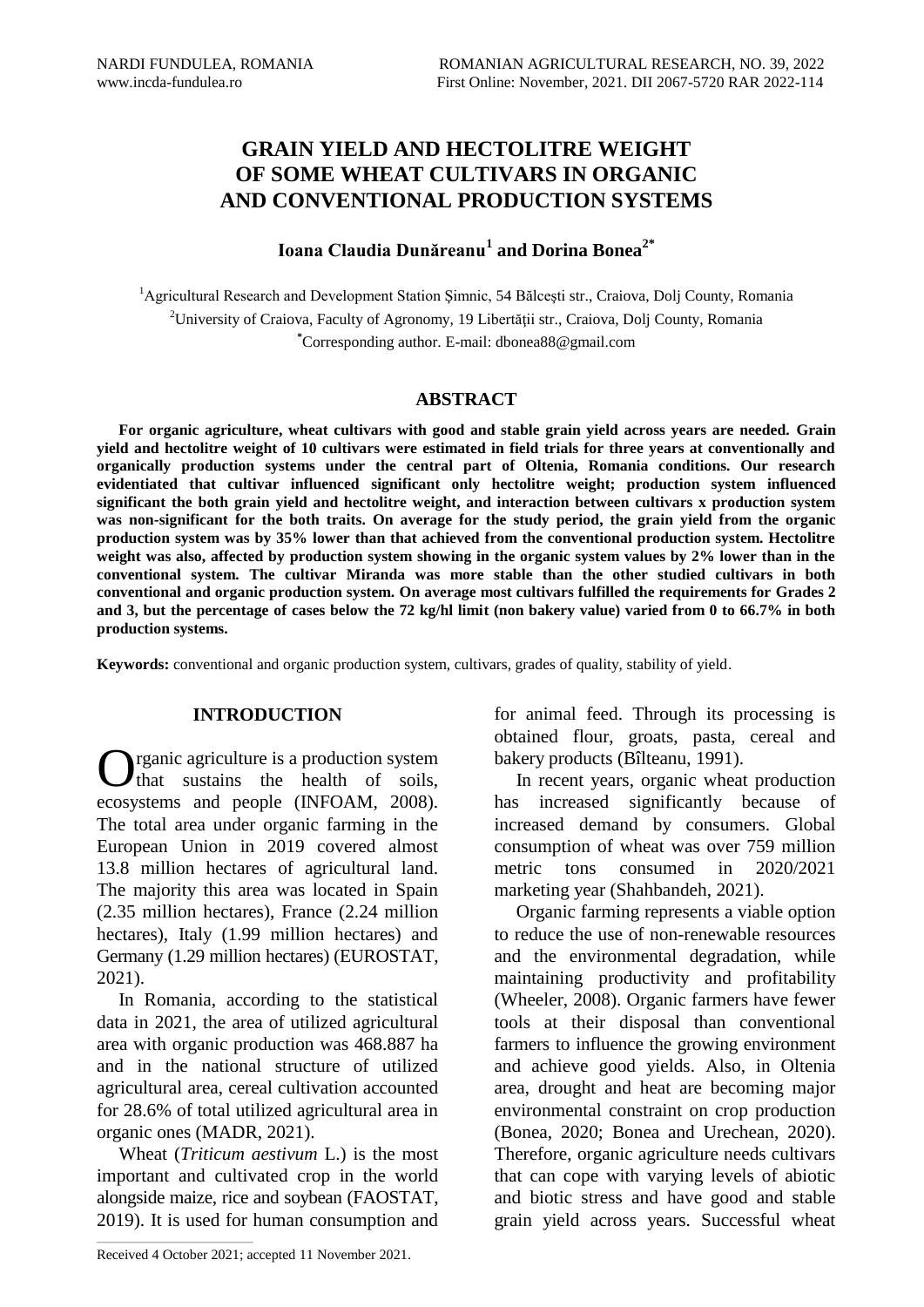# **GRAIN YIELD AND HECTOLITRE WEIGHT OF SOME WHEAT CULTIVARS IN ORGANIC AND CONVENTIONAL PRODUCTION SYSTEMS**

## **Ioana Claudia Dunăreanu<sup>1</sup> and Dorina Bonea2\***

<sup>1</sup>Agricultural Research and Development Station Șimnic, 54 Bălcești str., Craiova, Dolj County, Romania <sup>2</sup>University of Craiova, Faculty of Agronomy, 19 Libertății str., Craiova, Dolj County, Romania **\***Corresponding author. E-mail: dbonea88@gmail.com

## **ABSTRACT**

**For organic agriculture, wheat cultivars with good and stable grain yield across years are needed. Grain yield and hectolitre weight of 10 cultivars were estimated in field trials for three years at conventionally and organically production systems under the central part of Oltenia, Romania conditions. Our research evidentiated that cultivar influenced significant only hectolitre weight; production system influenced significant the both grain yield and hectolitre weight, and interaction between cultivars x production system was non-significant for the both traits. On average for the study period, the grain yield from the organic production system was by 35% lower than that achieved from the conventional production system. Hectolitre weight was also, affected by production system showing in the organic system values by 2% lower than in the conventional system. The cultivar Miranda was more stable than the other studied cultivars in both conventional and organic production system. On average most cultivars fulfilled the requirements for Grades 2 and 3, but the percentage of cases below the 72 kg/hl limit (non bakery value) varied from 0 to 66.7% in both production systems.**

**Keywords:** conventional and organic production system, cultivars, grades of quality, stability of yield.

### **INTRODUCTION**

**O**rganic agriculture is a production system<br>that sustains the health of soils, that sustains the health of soils, ecosystems and people (INFOAM, 2008). The total area under organic farming in the European Union in 2019 covered almost 13.8 million hectares of agricultural land. The majority this area was located in Spain (2.35 million hectares), France (2.24 million hectares), Italy (1.99 million hectares) and Germany (1.29 million hectares) (EUROSTAT, 2021).

In Romania, according to the statistical data in 2021, the area of utilized agricultural area with organic production was 468.887 ha and in the national structure of utilized agricultural area, cereal cultivation accounted for 28.6% of total utilized agricultural area in organic ones (MADR, 2021).

Wheat (*Triticum aestivum* L.) is the most important and cultivated crop in the world alongside maize, rice and soybean (FAOSTAT, 2019). It is used for human consumption and for animal feed. Through its processing is obtained flour, groats, pasta, cereal and bakery products (Bîlteanu, 1991).

In recent years, organic wheat production has increased significantly because of increased demand by consumers. Global consumption of wheat was over 759 million metric tons consumed in 2020/2021 marketing year (Shahbandeh, 2021).

Organic farming represents a viable option to reduce the use of non-renewable resources and the environmental degradation, while maintaining productivity and profitability (Wheeler, 2008). Organic farmers have fewer tools at their disposal than conventional farmers to influence the growing environment and achieve good yields. Also, in Oltenia area, drought and heat are becoming major environmental constraint on crop production (Bonea, 2020; Bonea and Urechean, 2020). Therefore, organic agriculture needs cultivars that can cope with varying levels of abiotic and biotic stress and have good and stable grain yield across years. Successful wheat

 $\mathcal{L}_\text{max}$  and  $\mathcal{L}_\text{max}$  and  $\mathcal{L}_\text{max}$  and  $\mathcal{L}_\text{max}$ 

Received 4 October 2021; accepted 11 November 2021.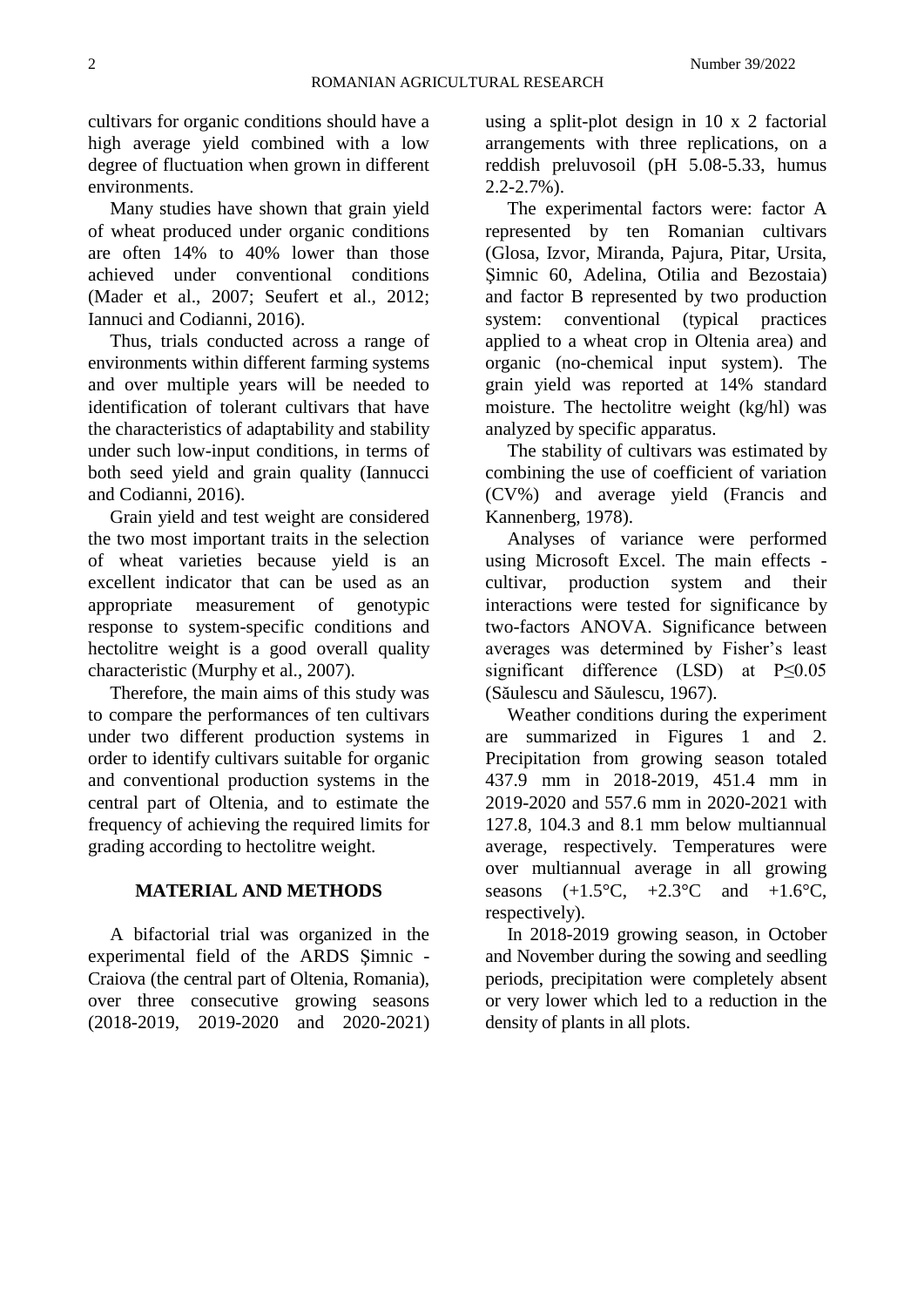cultivars for organic conditions should have a high average yield combined with a low degree of fluctuation when grown in different environments.

Many studies have shown that grain yield of wheat produced under organic conditions are often 14% to 40% lower than those achieved under conventional conditions (Mader et al., 2007; Seufert et al., 2012; Iannuci and Codianni, 2016).

Thus, trials conducted across a range of environments within different farming systems and over multiple years will be needed to identification of tolerant cultivars that have the characteristics of adaptability and stability under such low-input conditions, in terms of both seed yield and grain quality (Iannucci and Codianni, 2016).

Grain yield and test weight are considered the two most important traits in the selection of wheat varieties because yield is an excellent indicator that can be used as an appropriate measurement of genotypic response to system-specific conditions and hectolitre weight is a good overall quality characteristic (Murphy et al., 2007).

Therefore, the main aims of this study was to compare the performances of ten cultivars under two different production systems in order to identify cultivars suitable for organic and conventional production systems in the central part of Oltenia, and to estimate the frequency of achieving the required limits for grading according to hectolitre weight.

## **MATERIAL AND METHODS**

A bifactorial trial was organized in the experimental field of the ARDS Şimnic - Craiova (the central part of Oltenia, Romania), over three consecutive growing seasons (2018-2019, 2019-2020 and 2020-2021)

using a split-plot design in 10 x 2 factorial arrangements with three replications, on a reddish preluvosoil (pH 5.08-5.33, humus 2.2-2.7%).

The experimental factors were: factor A represented by ten Romanian cultivars (Glosa, Izvor, Miranda, Pajura, Pitar, Ursita, Şimnic 60, Adelina, Otilia and Bezostaia) and factor B represented by two production system: conventional (typical practices applied to a wheat crop in Oltenia area) and organic (no-chemical input system). The grain yield was reported at 14% standard moisture. The hectolitre weight (kg/hl) was analyzed by specific apparatus.

The stability of cultivars was estimated by combining the use of coefficient of variation (CV%) and average yield (Francis and Kannenberg, 1978).

Analyses of variance were performed using Microsoft Excel. The main effects cultivar, production system and their interactions were tested for significance by two-factors ANOVA. Significance between averages was determined by Fisher's least significant difference (LSD) at P≤0.05 (Săulescu and Săulescu, 1967).

Weather conditions during the experiment are summarized in Figures 1 and 2. Precipitation from growing season totaled 437.9 mm in 2018-2019, 451.4 mm in 2019-2020 and 557.6 mm in 2020-2021 with 127.8, 104.3 and 8.1 mm below multiannual average, respectively. Temperatures were over multiannual average in all growing seasons  $(+1.5^{\circ}C, +2.3^{\circ}C \text{ and } +1.6^{\circ}C,$ respectively).

In 2018-2019 growing season, in October and November during the sowing and seedling periods, precipitation were completely absent or very lower which led to a reduction in the density of plants in all plots.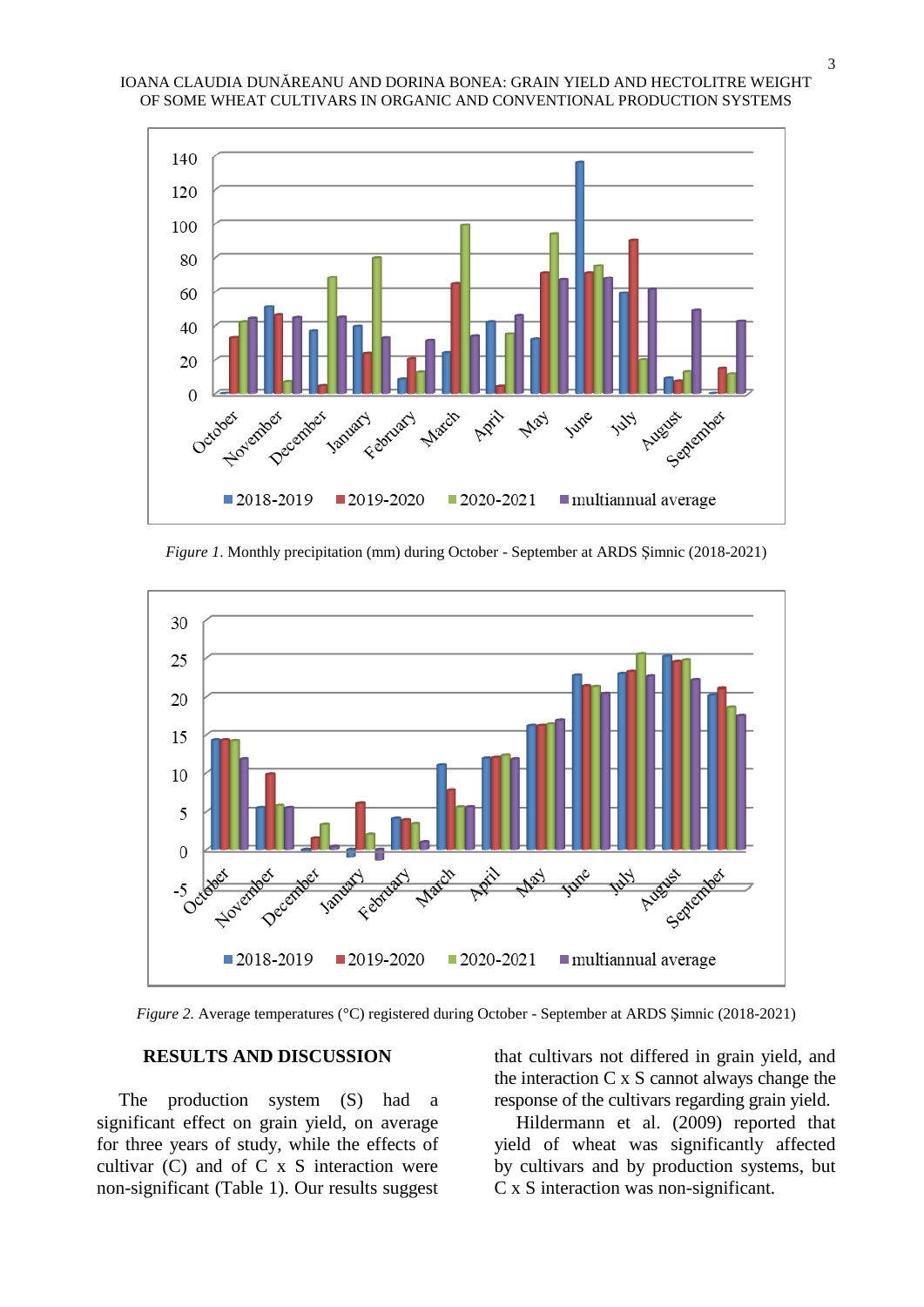

*Figure 1*. Monthly precipitation (mm) during October - September at ARDS Şimnic (2018-2021)



*Figure 2.* Average temperatures (°C) registered during October - September at ARDS Şimnic (2018-2021)

## **RESULTS AND DISCUSSION**

The production system (S) had a significant effect on grain yield, on average for three years of study, while the effects of cultivar  $(C)$  and of  $C \times S$  interaction were non-significant (Table 1). Our results suggest

that cultivars not differed in grain yield, and the interaction C x S cannot always change the response of the cultivars regarding grain yield.

Hildermann et al. (2009) reported that yield of wheat was significantly affected by cultivars and by production systems, but C x S interaction was non-significant.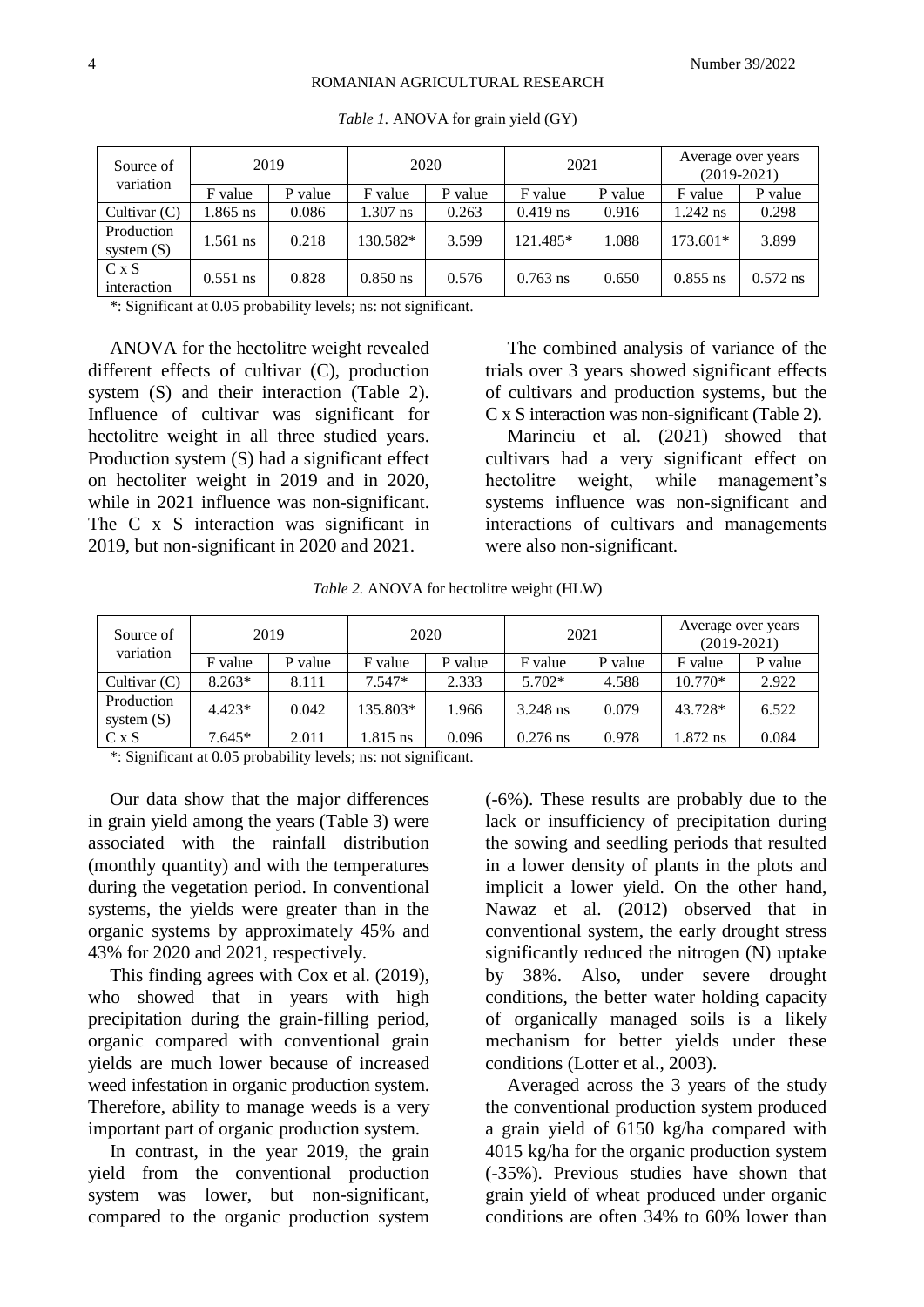#### ROMANIAN AGRICULTURAL RESEARCH

| Source of<br>variation     | 2019       |         | 2020       |         | 2021       |         | Average over years<br>$(2019-2021)$ |            |
|----------------------------|------------|---------|------------|---------|------------|---------|-------------------------------------|------------|
|                            | F value    | P value | F value    | P value | F value    | P value | F value                             | P value    |
| Cultivar $(C)$             | $.865$ ns  | 0.086   | 1.307 ns   | 0.263   | $0.419$ ns | 0.916   | $1.242$ ns                          | 0.298      |
| Production<br>system $(S)$ | 1.561 ns   | 0.218   | 130.582*   | 3.599   | 121.485*   | 1.088   | $173.601*$                          | 3.899      |
| C x S<br>interaction       | $0.551$ ns | 0.828   | $0.850$ ns | 0.576   | $0.763$ ns | 0.650   | $0.855$ ns                          | $0.572$ ns |

*Table 1.* ANOVA for grain yield (GY)

\*: Significant at 0.05 probability levels; ns: not significant.

ANOVA for the hectolitre weight revealed different effects of cultivar (C), production system (S) and their interaction (Table 2). Influence of cultivar was significant for hectolitre weight in all three studied years. Production system (S) had a significant effect on hectoliter weight in 2019 and in 2020, while in 2021 influence was non-significant. The C x S interaction was significant in 2019, but non-significant in 2020 and 2021.

The combined analysis of variance of the trials over 3 years showed significant effects of cultivars and production systems, but the C x S interaction was non-significant (Table 2).

Marinciu et al. (2021) showed that cultivars had a very significant effect on hectolitre weight, while management's systems influence was non-significant and interactions of cultivars and managements were also non-significant.

*Table 2.* ANOVA for hectolitre weight (HLW)

| Source of<br>variation     | 2019     |         | 2020     |         | 2021       |         | Average over years<br>$(2019-2021)$ |         |
|----------------------------|----------|---------|----------|---------|------------|---------|-------------------------------------|---------|
|                            | F value  | P value | F value  | P value | F value    | P value | F value                             | P value |
| Cultivar $(C)$             | $8.263*$ | 8.111   | $7.547*$ | 2.333   | $5.702*$   | 4.588   | 10.770*                             | 2.922   |
| Production<br>system $(S)$ | $4.423*$ | 0.042   | 135.803* | 1.966   | 3.248 ns   | 0.079   | 43.728*                             | 6.522   |
| C x S                      | $7.645*$ | 2.011   | 1.815 ns | 0.096   | $0.276$ ns | 0.978   | 1.872 ns                            | 0.084   |

\*: Significant at 0.05 probability levels; ns: not significant.

Our data show that the major differences in grain yield among the years (Table 3) were associated with the rainfall distribution (monthly quantity) and with the temperatures during the vegetation period. In conventional systems, the yields were greater than in the organic systems by approximately 45% and 43% for 2020 and 2021, respectively.

This finding agrees with Cox et al. (2019), who showed that in years with high precipitation during the grain-filling period, organic compared with conventional grain yields are much lower because of increased weed infestation in organic production system. Therefore, ability to manage weeds is a very important part of organic production system.

In contrast, in the year 2019, the grain yield from the conventional production system was lower, but non-significant, compared to the organic production system

(-6%). These results are probably due to the lack or insufficiency of precipitation during the sowing and seedling periods that resulted in a lower density of plants in the plots and implicit a lower yield. On the other hand, Nawaz et al. (2012) observed that in conventional system, the early drought stress significantly reduced the nitrogen (N) uptake by 38%. Also, under severe drought conditions, the better water holding capacity of organically managed soils is a likely mechanism for better yields under these conditions (Lotter et al., 2003).

Averaged across the 3 years of the study the conventional production system produced a grain yield of 6150 kg/ha compared with 4015 kg/ha for the organic production system (-35%). Previous studies have shown that grain yield of wheat produced under organic conditions are often 34% to 60% lower than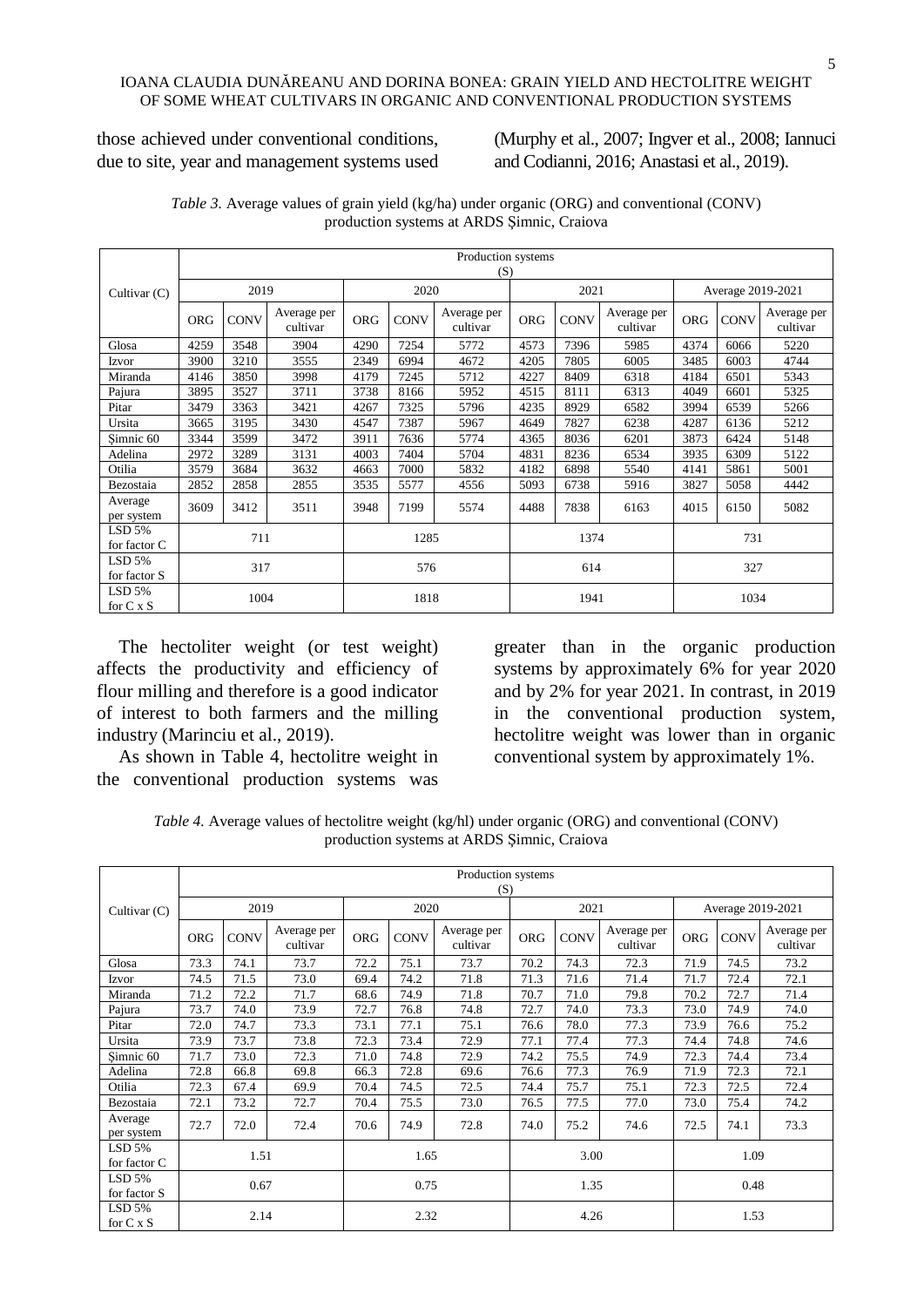those achieved under conventional conditions, due to site, year and management systems used (Murphy et al., 2007; Ingver et al., 2008; Iannuci and Codianni, 2016; Anastasi et al., 2019).

|                            | Production systems |             |                         |            |             |                         |            |             |                         |            |             |                         |
|----------------------------|--------------------|-------------|-------------------------|------------|-------------|-------------------------|------------|-------------|-------------------------|------------|-------------|-------------------------|
| Cultivar (C)               |                    | (S)         |                         |            |             |                         |            |             |                         |            |             |                         |
|                            | 2019               |             | 2020                    |            |             | 2021                    |            |             | Average 2019-2021       |            |             |                         |
|                            | <b>ORG</b>         | <b>CONV</b> | Average per<br>cultivar | <b>ORG</b> | <b>CONV</b> | Average per<br>cultivar | <b>ORG</b> | <b>CONV</b> | Average per<br>cultivar | <b>ORG</b> | <b>CONV</b> | Average per<br>cultivar |
| Glosa                      | 4259               | 3548        | 3904                    | 4290       | 7254        | 5772                    | 4573       | 7396        | 5985                    | 4374       | 6066        | 5220                    |
| Izvor                      | 3900               | 3210        | 3555                    | 2349       | 6994        | 4672                    | 4205       | 7805        | 6005                    | 3485       | 6003        | 4744                    |
| Miranda                    | 4146               | 3850        | 3998                    | 4179       | 7245        | 5712                    | 4227       | 8409        | 6318                    | 4184       | 6501        | 5343                    |
| Pajura                     | 3895               | 3527        | 3711                    | 3738       | 8166        | 5952                    | 4515       | 8111        | 6313                    | 4049       | 6601        | 5325                    |
| Pitar                      | 3479               | 3363        | 3421                    | 4267       | 7325        | 5796                    | 4235       | 8929        | 6582                    | 3994       | 6539        | 5266                    |
| Ursita                     | 3665               | 3195        | 3430                    | 4547       | 7387        | 5967                    | 4649       | 7827        | 6238                    | 4287       | 6136        | 5212                    |
| Simnic 60                  | 3344               | 3599        | 3472                    | 3911       | 7636        | 5774                    | 4365       | 8036        | 6201                    | 3873       | 6424        | 5148                    |
| Adelina                    | 2972               | 3289        | 3131                    | 4003       | 7404        | 5704                    | 4831       | 8236        | 6534                    | 3935       | 6309        | 5122                    |
| Otilia                     | 3579               | 3684        | 3632                    | 4663       | 7000        | 5832                    | 4182       | 6898        | 5540                    | 4141       | 5861        | 5001                    |
| Bezostaia                  | 2852               | 2858        | 2855                    | 3535       | 5577        | 4556                    | 5093       | 6738        | 5916                    | 3827       | 5058        | 4442                    |
| Average<br>per system      | 3609               | 3412        | 3511                    | 3948       | 7199        | 5574                    | 4488       | 7838        | 6163                    | 4015       | 6150        | 5082                    |
| LSD 5%                     |                    |             |                         |            |             |                         |            |             |                         |            |             |                         |
| for factor C               | 711                |             | 1285                    |            | 1374        |                         |            | 731         |                         |            |             |                         |
| $LSD$ 5%                   | 317                |             | 576                     |            | 614         |                         |            | 327         |                         |            |             |                         |
| for factor S               |                    |             |                         |            |             |                         |            |             |                         |            |             |                         |
| LSD 5%<br>for $C \times S$ |                    | 1004        |                         | 1818       |             | 1941                    |            |             | 1034                    |            |             |                         |

*Table 3.* Average values of grain yield (kg/ha) under organic (ORG) and conventional (CONV) production systems at ARDS Şimnic, Craiova

The hectoliter weight (or test weight) affects the productivity and efficiency of flour milling and therefore is a good indicator of interest to both farmers and the milling industry (Marinciu et al., 2019).

As shown in Table 4, hectolitre weight in the conventional production systems was

greater than in the organic production systems by approximately 6% for year 2020 and by 2% for year 2021. In contrast, in 2019 in the conventional production system, hectolitre weight was lower than in organic conventional system by approximately 1%.

*Table 4.* Average values of hectolitre weight (kg/hl) under organic (ORG) and conventional (CONV) production systems at ARDS Şimnic, Craiova

|                              | Production systems |             |                         |            |             |                         |            |             |                         |                   |             |                         |  |
|------------------------------|--------------------|-------------|-------------------------|------------|-------------|-------------------------|------------|-------------|-------------------------|-------------------|-------------|-------------------------|--|
|                              |                    | (S)         |                         |            |             |                         |            |             |                         |                   |             |                         |  |
| Cultivar (C)                 | 2019               |             |                         | 2020       |             |                         | 2021       |             |                         | Average 2019-2021 |             |                         |  |
|                              | <b>ORG</b>         | <b>CONV</b> | Average per<br>cultivar | <b>ORG</b> | <b>CONV</b> | Average per<br>cultivar | <b>ORG</b> | <b>CONV</b> | Average per<br>cultivar | <b>ORG</b>        | <b>CONV</b> | Average per<br>cultivar |  |
| Glosa                        | 73.3               | 74.1        | 73.7                    | 72.2       | 75.1        | 73.7                    | 70.2       | 74.3        | 72.3                    | 71.9              | 74.5        | 73.2                    |  |
| Izvor                        | 74.5               | 71.5        | 73.0                    | 69.4       | 74.2        | 71.8                    | 71.3       | 71.6        | 71.4                    | 71.7              | 72.4        | 72.1                    |  |
| Miranda                      | 71.2               | 72.2        | 71.7                    | 68.6       | 74.9        | 71.8                    | 70.7       | 71.0        | 79.8                    | 70.2              | 72.7        | 71.4                    |  |
| Pajura                       | 73.7               | 74.0        | 73.9                    | 72.7       | 76.8        | 74.8                    | 72.7       | 74.0        | 73.3                    | 73.0              | 74.9        | 74.0                    |  |
| Pitar                        | 72.0               | 74.7        | 73.3                    | 73.1       | 77.1        | 75.1                    | 76.6       | 78.0        | 77.3                    | 73.9              | 76.6        | 75.2                    |  |
| Ursita                       | 73.9               | 73.7        | 73.8                    | 72.3       | 73.4        | 72.9                    | 77.1       | 77.4        | 77.3                    | 74.4              | 74.8        | 74.6                    |  |
| Simnic 60                    | 71.7               | 73.0        | 72.3                    | 71.0       | 74.8        | 72.9                    | 74.2       | 75.5        | 74.9                    | 72.3              | 74.4        | 73.4                    |  |
| Adelina                      | 72.8               | 66.8        | 69.8                    | 66.3       | 72.8        | 69.6                    | 76.6       | 77.3        | 76.9                    | 71.9              | 72.3        | 72.1                    |  |
| Otilia                       | 72.3               | 67.4        | 69.9                    | 70.4       | 74.5        | 72.5                    | 74.4       | 75.7        | 75.1                    | 72.3              | 72.5        | 72.4                    |  |
| Bezostaia                    | 72.1               | 73.2        | 72.7                    | 70.4       | 75.5        | 73.0                    | 76.5       | 77.5        | 77.0                    | 73.0              | 75.4        | 74.2                    |  |
| Average<br>per system        | 72.7               | 72.0        | 72.4                    | 70.6       | 74.9        | 72.8                    | 74.0       | 75.2        | 74.6                    | 72.5              | 74.1        | 73.3                    |  |
| LSD 5%<br>for factor C       | 1.51               |             | 1.65                    |            | 3.00        |                         |            | 1.09        |                         |                   |             |                         |  |
| $LSD$ 5%<br>for factor S     | 0.67               |             | 0.75                    |            | 1.35        |                         |            | 0.48        |                         |                   |             |                         |  |
| $LSD$ 5%<br>for $C \times S$ |                    | 2.14        |                         | 2.32       |             | 4.26                    |            |             | 1.53                    |                   |             |                         |  |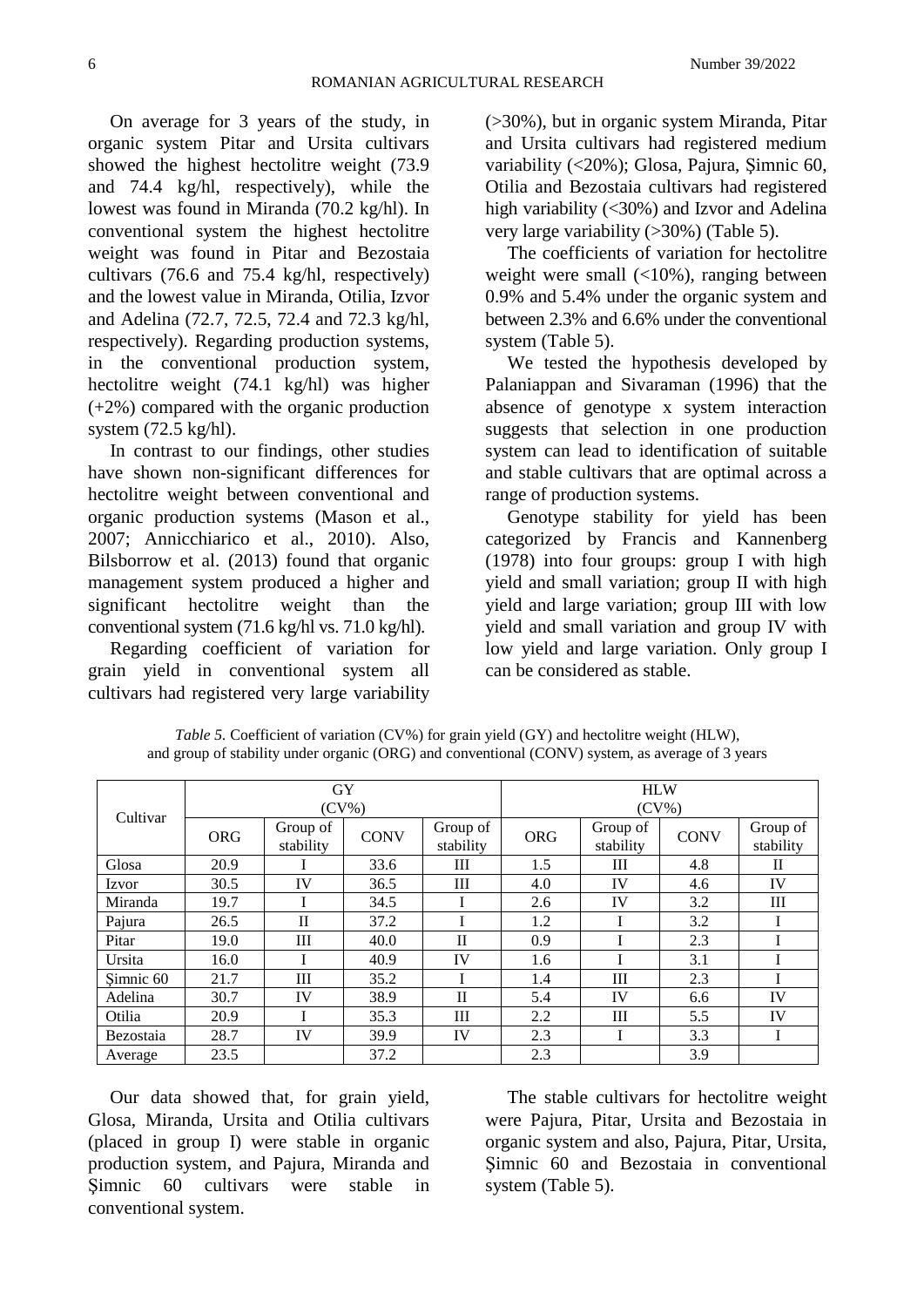On average for 3 years of the study, in organic system Pitar and Ursita cultivars showed the highest hectolitre weight (73.9 and 74.4 kg/hl, respectively), while the lowest was found in Miranda (70.2 kg/hl). In conventional system the highest hectolitre weight was found in Pitar and Bezostaia cultivars (76.6 and 75.4 kg/hl, respectively) and the lowest value in Miranda, Otilia, Izvor and Adelina (72.7, 72.5, 72.4 and 72.3 kg/hl, respectively). Regarding production systems, in the conventional production system, hectolitre weight (74.1 kg/hl) was higher (+2%) compared with the organic production system (72.5 kg/hl).

In contrast to our findings, other studies have shown non-significant differences for hectolitre weight between conventional and organic production systems (Mason et al., 2007; Annicchiarico et al., 2010). Also, Bilsborrow et al. (2013) found that organic management system produced a higher and significant hectolitre weight than the conventional system (71.6 kg/hl vs. 71.0 kg/hl).

Regarding coefficient of variation for grain yield in conventional system all cultivars had registered very large variability (>30%), but in organic system Miranda, Pitar and Ursita cultivars had registered medium variability (<20%); Glosa, Pajura, Şimnic 60, Otilia and Bezostaia cultivars had registered high variability (<30%) and Izvor and Adelina very large variability (>30%) (Table 5).

The coefficients of variation for hectolitre weight were small (<10%), ranging between 0.9% and 5.4% under the organic system and between 2.3% and 6.6% under the conventional system (Table 5).

We tested the hypothesis developed by Palaniappan and Sivaraman (1996) that the absence of genotype x system interaction suggests that selection in one production system can lead to identification of suitable and stable cultivars that are optimal across a range of production systems.

Genotype stability for yield has been categorized by Francis and Kannenberg (1978) into four groups: group I with high yield and small variation; group II with high yield and large variation; group III with low yield and small variation and group IV with low yield and large variation. Only group I can be considered as stable.

| Cultivar  |            | GY<br>$(CV\%)$        |             |                       | <b>HLW</b><br>$(CV\%)$ |                       |             |                       |  |  |
|-----------|------------|-----------------------|-------------|-----------------------|------------------------|-----------------------|-------------|-----------------------|--|--|
|           | <b>ORG</b> | Group of<br>stability | <b>CONV</b> | Group of<br>stability | <b>ORG</b>             | Group of<br>stability | <b>CONV</b> | Group of<br>stability |  |  |
| Glosa     | 20.9       |                       | 33.6        | Ш                     | 1.5                    | Ш                     | 4.8         | П                     |  |  |
| Izvor     | 30.5       | IV                    | 36.5        | Ш                     | 4.0                    | IV                    | 4.6         | IV                    |  |  |
| Miranda   | 19.7       |                       | 34.5        |                       | 2.6                    | IV                    | 3.2         | III                   |  |  |
| Pajura    | 26.5       | $\mathbf{I}$          | 37.2        |                       | 1.2                    |                       | 3.2         |                       |  |  |
| Pitar     | 19.0       | Ш                     | 40.0        | $\mathbf{I}$          | 0.9                    |                       | 2.3         |                       |  |  |
| Ursita    | 16.0       |                       | 40.9        | IV                    | 1.6                    |                       | 3.1         |                       |  |  |
| Simnic 60 | 21.7       | Ш                     | 35.2        |                       | 1.4                    | Ш                     | 2.3         |                       |  |  |
| Adelina   | 30.7       | IV                    | 38.9        | $\mathbf{I}$          | 5.4                    | IV                    | 6.6         | IV                    |  |  |
| Otilia    | 20.9       |                       | 35.3        | Ш                     | 2.2                    | Ш                     | 5.5         | IV                    |  |  |
| Bezostaia | 28.7       | IV                    | 39.9        | IV                    | 2.3                    |                       | 3.3         |                       |  |  |
| Average   | 23.5       |                       | 37.2        |                       | 2.3                    |                       | 3.9         |                       |  |  |

*Table 5.* Coefficient of variation (CV%) for grain yield (GY) and hectolitre weight (HLW), and group of stability under organic (ORG) and conventional (CONV) system, as average of 3 years

Our data showed that, for grain yield, Glosa, Miranda, Ursita and Otilia cultivars (placed in group I) were stable in organic production system, and Pajura, Miranda and Simnic 60 cultivars were stable in conventional system.

The stable cultivars for hectolitre weight were Pajura, Pitar, Ursita and Bezostaia in organic system and also, Pajura, Pitar, Ursita, Şimnic 60 and Bezostaia in conventional system (Table 5).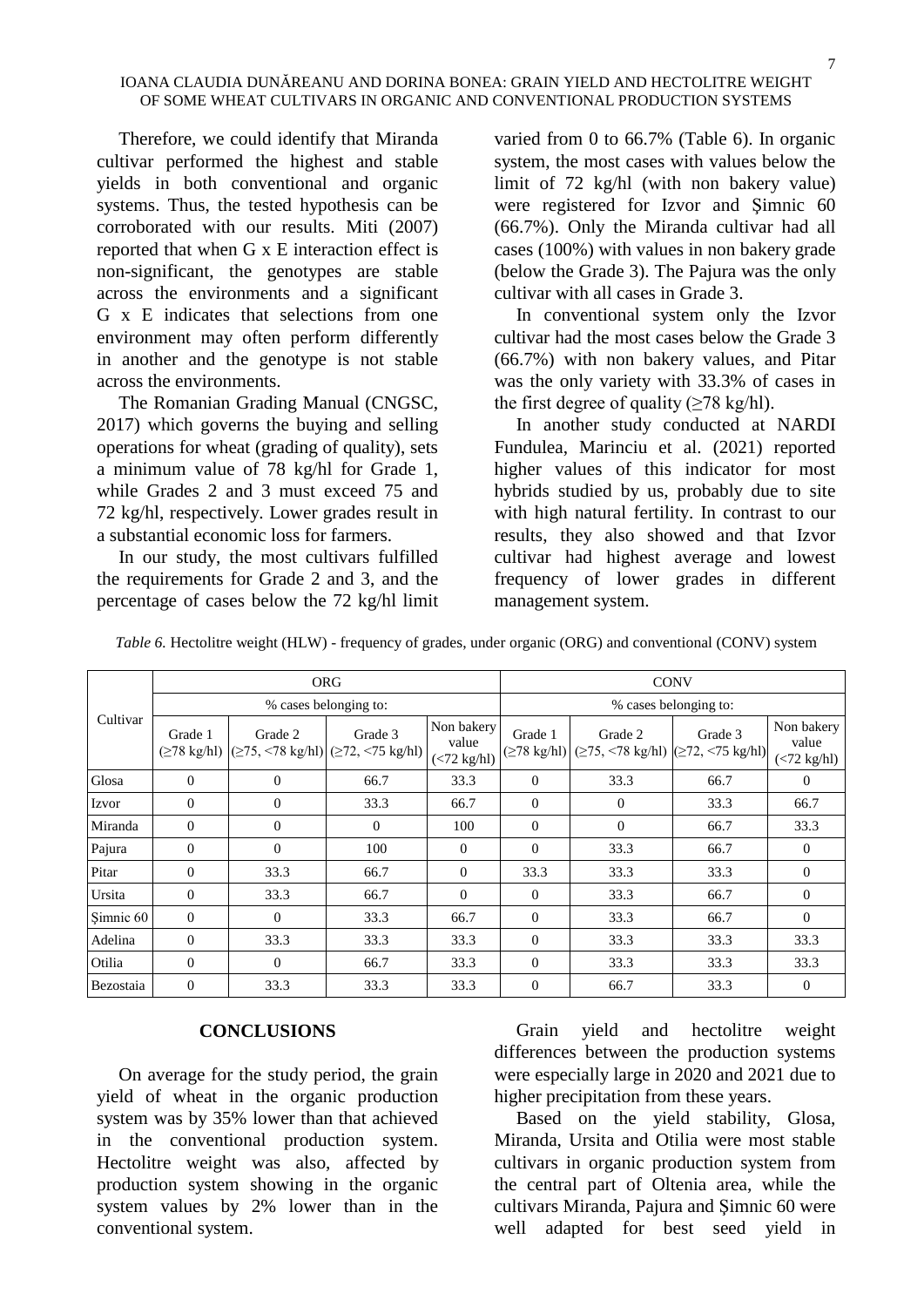Therefore, we could identify that Miranda cultivar performed the highest and stable yields in both conventional and organic systems. Thus, the tested hypothesis can be corroborated with our results. Miti (2007) reported that when G x E interaction effect is non-significant, the genotypes are stable across the environments and a significant G x E indicates that selections from one environment may often perform differently in another and the genotype is not stable across the environments.

The Romanian Grading Manual (CNGSC, 2017) which governs the buying and selling operations for wheat (grading of quality), sets a minimum value of 78 kg/hl for Grade 1, while Grades 2 and 3 must exceed 75 and 72 kg/hl, respectively. Lower grades result in a substantial economic loss for farmers.

In our study, the most cultivars fulfilled the requirements for Grade 2 and 3, and the percentage of cases below the 72 kg/hl limit

varied from 0 to 66.7% (Table 6). In organic system, the most cases with values below the limit of 72 kg/hl (with non bakery value) were registered for Izvor and Şimnic 60 (66.7%). Only the Miranda cultivar had all cases (100%) with values in non bakery grade (below the Grade 3). The Pajura was the only cultivar with all cases in Grade 3.

In conventional system only the Izvor cultivar had the most cases below the Grade 3 (66.7%) with non bakery values, and Pitar was the only variety with 33.3% of cases in the first degree of quality ( $\geq$ 78 kg/hl).

In another study conducted at NARDI Fundulea, Marinciu et al. (2021) reported higher values of this indicator for most hybrids studied by us, probably due to site with high natural fertility. In contrast to our results, they also showed and that Izvor cultivar had highest average and lowest frequency of lower grades in different management system.

|           |                  |          | <b>ORG</b>                                                                                                 |                                     | <b>CONV</b>           |                                                                                                            |         |                                       |  |  |
|-----------|------------------|----------|------------------------------------------------------------------------------------------------------------|-------------------------------------|-----------------------|------------------------------------------------------------------------------------------------------------|---------|---------------------------------------|--|--|
|           |                  |          | % cases belonging to:                                                                                      |                                     | % cases belonging to: |                                                                                                            |         |                                       |  |  |
| Cultivar  | Grade 1          | Grade 2  | Grade 3<br>$(\geq 78 \text{ kg/hl})$ $(\geq 75, \leq 78 \text{ kg/hl})$ $(\geq 72, \leq 75 \text{ kg/hl})$ | Non bakery<br>value<br>(< 72 kg/hl) | Grade 1               | Grade 2<br>$(\geq 78 \text{ kg/hl})$ $(\geq 75, \leq 78 \text{ kg/hl})$ $(\geq 72, \leq 75 \text{ kg/hl})$ | Grade 3 | Non bakery<br>value<br>$(< 72$ kg/hl) |  |  |
| Glosa     | 0                | $\theta$ | 66.7                                                                                                       | 33.3                                | $\mathbf{0}$          | 33.3                                                                                                       | 66.7    | $\Omega$                              |  |  |
| Izvor     | $\boldsymbol{0}$ | $\theta$ | 33.3                                                                                                       | 66.7                                | $\mathbf{0}$          | $\theta$                                                                                                   | 33.3    | 66.7                                  |  |  |
| Miranda   | $\Omega$         | $\Omega$ | $\Omega$                                                                                                   | 100                                 | $\Omega$              | $\theta$                                                                                                   | 66.7    | 33.3                                  |  |  |
| Pajura    | $\boldsymbol{0}$ | $\theta$ | 100                                                                                                        | 0                                   | $\mathbf{0}$          | 33.3                                                                                                       | 66.7    | $\theta$                              |  |  |
| Pitar     | $\Omega$         | 33.3     | 66.7                                                                                                       | $\theta$                            | 33.3                  | 33.3                                                                                                       | 33.3    | $\Omega$                              |  |  |
| Ursita    | $\Omega$         | 33.3     | 66.7                                                                                                       | $\Omega$                            | $\mathbf{0}$          | 33.3                                                                                                       | 66.7    | $\Omega$                              |  |  |
| Şimnic 60 | $\mathbf{0}$     | $\theta$ | 33.3                                                                                                       | 66.7                                | $\mathbf{0}$          | 33.3                                                                                                       | 66.7    | $\Omega$                              |  |  |
| Adelina   | $\mathbf{0}$     | 33.3     | 33.3                                                                                                       | 33.3                                | $\overline{0}$        | 33.3                                                                                                       | 33.3    | 33.3                                  |  |  |
| Otilia    | $\Omega$         | $\theta$ | 66.7                                                                                                       | 33.3                                | $\mathbf{0}$          | 33.3                                                                                                       | 33.3    | 33.3                                  |  |  |
| Bezostaia | 0                | 33.3     | 33.3                                                                                                       | 33.3                                | 0                     | 66.7                                                                                                       | 33.3    | $\mathbf{0}$                          |  |  |

*Table 6.* Hectolitre weight (HLW) - frequency of grades, under organic (ORG) and conventional (CONV) system

#### **CONCLUSIONS**

On average for the study period, the grain yield of wheat in the organic production system was by 35% lower than that achieved in the conventional production system. Hectolitre weight was also, affected by production system showing in the organic system values by 2% lower than in the conventional system.

Grain yield and hectolitre weight differences between the production systems were especially large in 2020 and 2021 due to higher precipitation from these years.

Based on the yield stability, Glosa, Miranda, Ursita and Otilia were most stable cultivars in organic production system from the central part of Oltenia area, while the cultivars Miranda, Pajura and Şimnic 60 were well adapted for best seed yield in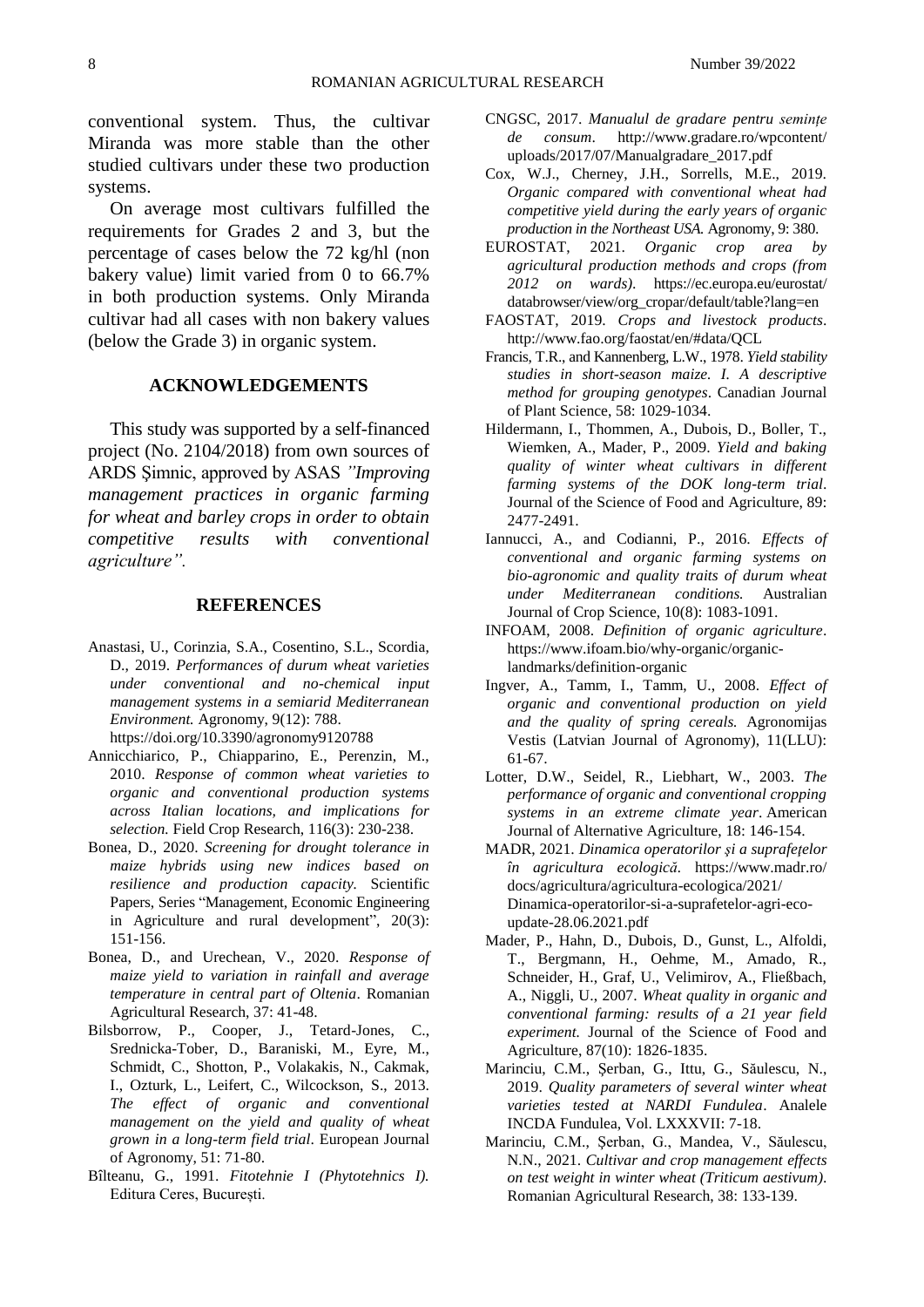conventional system. Thus, the cultivar Miranda was more stable than the other studied cultivars under these two production systems.

On average most cultivars fulfilled the requirements for Grades 2 and 3, but the percentage of cases below the 72 kg/hl (non bakery value) limit varied from 0 to 66.7% in both production systems. Only Miranda cultivar had all cases with non bakery values (below the Grade 3) in organic system.

## **ACKNOWLEDGEMENTS**

This study was supported by a self-financed project (No. 2104/2018) from own sources of ARDS Şimnic, approved by ASAS *"Improving management practices in organic farming for wheat and barley crops in order to obtain competitive results with conventional agriculture".*

#### **REFERENCES**

- Anastasi, U., Corinzia, S.A., Cosentino, S.L., Scordia, D., 2019. *Performances of durum wheat varieties under conventional and no-chemical input management systems in a semiarid Mediterranean Environment.* Agronomy, 9(12): 788. <https://doi.org/10.3390/agronomy9120788>
- Annicchiarico, P., Chiapparino, E., Perenzin, M., 2010. *Response of common wheat varieties to organic and conventional production systems across Italian locations, and implications for selection.* Field Crop Research, 116(3): 230-238.
- Bonea, D., 2020. *Screening for drought tolerance in maize hybrids using new indices based on resilience and production capacity.* Scientific Papers, Series "Management, Economic Engineering in Agriculture and rural development", 20(3): 151-156.
- Bonea, D., and Urechean, V., 2020. *Response of maize yield to variation in rainfall and average temperature in central part of Oltenia*. Romanian Agricultural Research, 37: 41-48.
- Bilsborrow, P., Cooper, J., Tetard-Jones, C., Srednicka-Tober, D., Baraniski, M., Eyre, M., Schmidt, C., Shotton, P., Volakakis, N., Cakmak, I., Ozturk, L., Leifert, C., Wilcockson, S., 2013. *The effect of organic and conventional management on the yield and quality of wheat grown in a long-term field trial*. European Journal of Agronomy, 51: 71-80.
- Bîlteanu, G., 1991. *Fitotehnie I (Phytotehnics I).* Editura Ceres, București.
- CNGSC, 2017. *Manualul de gradare pentru semințe de consum*. [http://www.gradare.ro/wpcontent/](http://www.gradare.ro/wpcontent/%20uploads/2017/07/Manualgradare_2017.pdf)  [uploads/2017/07/Manualgradare\\_2017.pdf](http://www.gradare.ro/wpcontent/%20uploads/2017/07/Manualgradare_2017.pdf)
- Cox, W.J., Cherney, J.H., Sorrells, M.E., 2019. *Organic compared with conventional wheat had competitive yield during the early years of organic production in the Northeast USA.* Agronomy, 9: 380.
- EUROSTAT, 2021. *Organic crop area by agricultural production methods and crops (from 2012 on wards)*. [https://ec.europa.eu/eurostat/](https://ec.europa.eu/eurostat/%20databrowser/view/org_cropar/default/table?lang=en)  [databrowser/view/org\\_cropar/default/table?lang=en](https://ec.europa.eu/eurostat/%20databrowser/view/org_cropar/default/table?lang=en)
- FAOSTAT, 2019. *Crops and livestock products*. <http://www.fao.org/faostat/en/#data/QCL>
- Francis, T.R., and Kannenberg, L.W., 1978. *Yield stability studies in short-season maize. I. A descriptive method for grouping genotypes*. Canadian Journal of Plant Science, 58: 1029-1034.
- Hildermann, I., Thommen, A., Dubois, D., Boller, T., Wiemken, A., Mader, P., 2009. *Yield and baking quality of winter wheat cultivars in different farming systems of the DOK long-term trial*. Journal of the Science of Food and Agriculture, 89: 2477-2491.
- Iannucci, A., and Codianni, P., 2016. *Effects of conventional and organic farming systems on bio-agronomic and quality traits of durum wheat under Mediterranean conditions.* Australian Journal of Crop Science, 10(8): 1083-1091.
- INFOAM, 2008. *Definition of organic agriculture*. [https://www.ifoam.bio/why-organic/organic](https://www.ifoam.bio/why-organic/organic-landmarks/definition-organic)[landmarks/definition-organic](https://www.ifoam.bio/why-organic/organic-landmarks/definition-organic)
- Ingver, A., Tamm, I., Tamm, U., 2008. *Effect of organic and conventional production on yield and the quality of spring cereals.* Agronomijas Vestis (Latvian Journal of Agronomy), 11(LLU): 61-67.
- Lotter, D.W., Seidel, R., Liebhart, W., 2003. *The performance of organic and conventional cropping systems in an extreme climate year*. American Journal of Alternative Agriculture, 18: 146-154.
- MADR, 2021. *Dinamica operatorilor şi a suprafeţelor în agricultura ecologică.* [https://www.madr.ro/](https://www.madr.ro/%20docs/agricultura/agricultura-ecologica/2021/%20Dinamica-operatorilor-si-a-suprafetelor-agri-eco-update-28.06.2021.pdf)  [docs/agricultura/agricultura-ecologica/2021/](https://www.madr.ro/%20docs/agricultura/agricultura-ecologica/2021/%20Dinamica-operatorilor-si-a-suprafetelor-agri-eco-update-28.06.2021.pdf)  [Dinamica-operatorilor-si-a-suprafetelor-agri-eco](https://www.madr.ro/%20docs/agricultura/agricultura-ecologica/2021/%20Dinamica-operatorilor-si-a-suprafetelor-agri-eco-update-28.06.2021.pdf)[update-28.06.2021.pdf](https://www.madr.ro/%20docs/agricultura/agricultura-ecologica/2021/%20Dinamica-operatorilor-si-a-suprafetelor-agri-eco-update-28.06.2021.pdf)
- Mader, P., Hahn, D., Dubois, D., Gunst, L., Alfoldi, T., Bergmann, H., Oehme, M., Amado, R., Schneider, H., Graf, U., Velimirov, A., Fließbach, A., Niggli, U., 2007. *Wheat quality in organic and conventional farming: results of a 21 year field experiment.* Journal of the Science of Food and Agriculture, 87(10): 1826-1835.
- Marinciu, C.M., Şerban, G., Ittu, G., Săulescu, N., 2019. *Quality parameters of several winter wheat varieties tested at NARDI Fundulea*. Analele INCDA Fundulea, Vol. LXXXVII: 7-18.
- Marinciu, C.M., Şerban, G., Mandea, V., Săulescu, N.N., 2021. *Cultivar and crop management effects on test weight in winter wheat (Triticum aestivum)*. Romanian Agricultural Research, 38: 133-139.